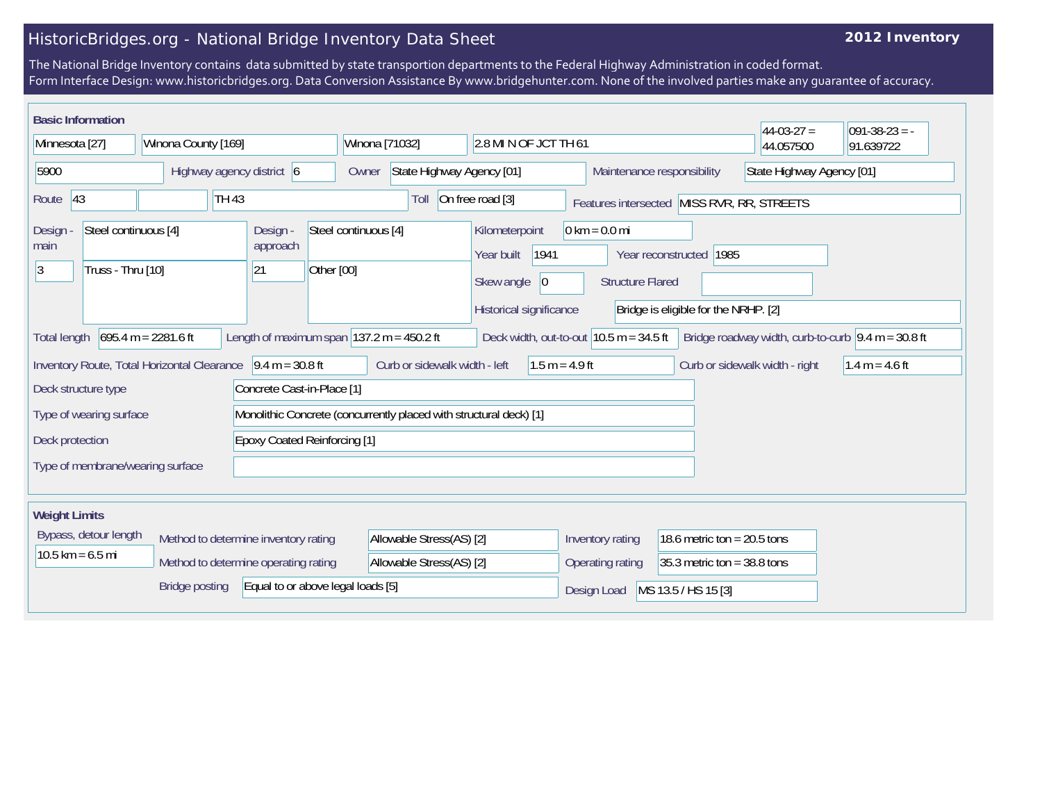## HistoricBridges.org - National Bridge Inventory Data Sheet

## **2012 Inventory**

The National Bridge Inventory contains data submitted by state transportion departments to the Federal Highway Administration in coded format. Form Interface Design: www.historicbridges.org. Data Conversion Assistance By www.bridgehunter.com. None of the involved parties make any guarantee of accuracy.

| <b>Basic Information</b>                                                                                                                                                                                                                                                         |                                                                                                                                                                             |                                           |                                         |                                                                                      |                                                            |                                            | $44-03-27=$               | $ 091-38-23 = -$ |
|----------------------------------------------------------------------------------------------------------------------------------------------------------------------------------------------------------------------------------------------------------------------------------|-----------------------------------------------------------------------------------------------------------------------------------------------------------------------------|-------------------------------------------|-----------------------------------------|--------------------------------------------------------------------------------------|------------------------------------------------------------|--------------------------------------------|---------------------------|------------------|
| Minnesota [27]                                                                                                                                                                                                                                                                   | Winona County [169]                                                                                                                                                         |                                           | Winona [71032]<br>2.8 MI N OF JCT TH 61 |                                                                                      |                                                            |                                            | 44.057500                 | 91.639722        |
| 5900<br>Highway agency district 6                                                                                                                                                                                                                                                |                                                                                                                                                                             |                                           | Owner                                   | State Highway Agency [01]<br>Maintenance responsibility                              |                                                            |                                            | State Highway Agency [01] |                  |
| 43<br>Route                                                                                                                                                                                                                                                                      | <b>TH 43</b>                                                                                                                                                                |                                           | Toll                                    | On free road [3]                                                                     |                                                            | Features intersected MISS RVR, RR, STREETS |                           |                  |
| Steel continuous [4]<br>Design -<br>main<br>3<br>Truss - Thru [10]                                                                                                                                                                                                               |                                                                                                                                                                             | Design -<br>approach<br>Other [00]<br> 21 | Steel continuous [4]                    | Kilometerpoint<br>1941<br>Year built<br>Skew angle<br> 0 <br>Historical significance | $0 \text{ km} = 0.0 \text{ mi}$<br><b>Structure Flared</b> | Year reconstructed 1985                    |                           |                  |
| Bridge is eligible for the NRHP. [2]<br>$695.4 m = 2281.6 ft$<br>Length of maximum span $ 137.2 \text{ m} = 450.2 \text{ ft} $<br>Deck width, out-to-out $10.5$ m = 34.5 ft<br>Bridge roadway width, curb-to-curb $\vert 9.4 \text{ m} = 30.8 \text{ ft}$<br><b>Total length</b> |                                                                                                                                                                             |                                           |                                         |                                                                                      |                                                            |                                            |                           |                  |
|                                                                                                                                                                                                                                                                                  | Inventory Route, Total Horizontal Clearance<br>$9.4 m = 30.8 ft$<br>Curb or sidewalk width - left<br>$1.5 m = 4.9 ft$<br>Curb or sidewalk width - right<br>$1.4 m = 4.6 ft$ |                                           |                                         |                                                                                      |                                                            |                                            |                           |                  |
| Deck structure type                                                                                                                                                                                                                                                              | Concrete Cast-in-Place [1]                                                                                                                                                  |                                           |                                         |                                                                                      |                                                            |                                            |                           |                  |
|                                                                                                                                                                                                                                                                                  | Monolithic Concrete (concurrently placed with structural deck) [1]<br>Type of wearing surface                                                                               |                                           |                                         |                                                                                      |                                                            |                                            |                           |                  |
| <b>Epoxy Coated Reinforcing [1]</b><br>Deck protection                                                                                                                                                                                                                           |                                                                                                                                                                             |                                           |                                         |                                                                                      |                                                            |                                            |                           |                  |
| Type of membrane/wearing surface                                                                                                                                                                                                                                                 |                                                                                                                                                                             |                                           |                                         |                                                                                      |                                                            |                                            |                           |                  |
| <b>Weight Limits</b>                                                                                                                                                                                                                                                             |                                                                                                                                                                             |                                           |                                         |                                                                                      |                                                            |                                            |                           |                  |
| Bypass, detour length                                                                                                                                                                                                                                                            |                                                                                                                                                                             | Method to determine inventory rating      | Allowable Stress(AS) [2]                |                                                                                      | Inventory rating                                           | 18.6 metric ton = $20.5$ tons              |                           |                  |
| $10.5$ km = 6.5 mi                                                                                                                                                                                                                                                               |                                                                                                                                                                             | Method to determine operating rating      | Allowable Stress(AS) [2]                |                                                                                      | Operating rating                                           | 35.3 metric ton = $38.8$ tons              |                           |                  |
|                                                                                                                                                                                                                                                                                  | <b>Bridge posting</b>                                                                                                                                                       | Equal to or above legal loads [5]         |                                         |                                                                                      | Design Load                                                | MS 13.5 / HS 15 [3]                        |                           |                  |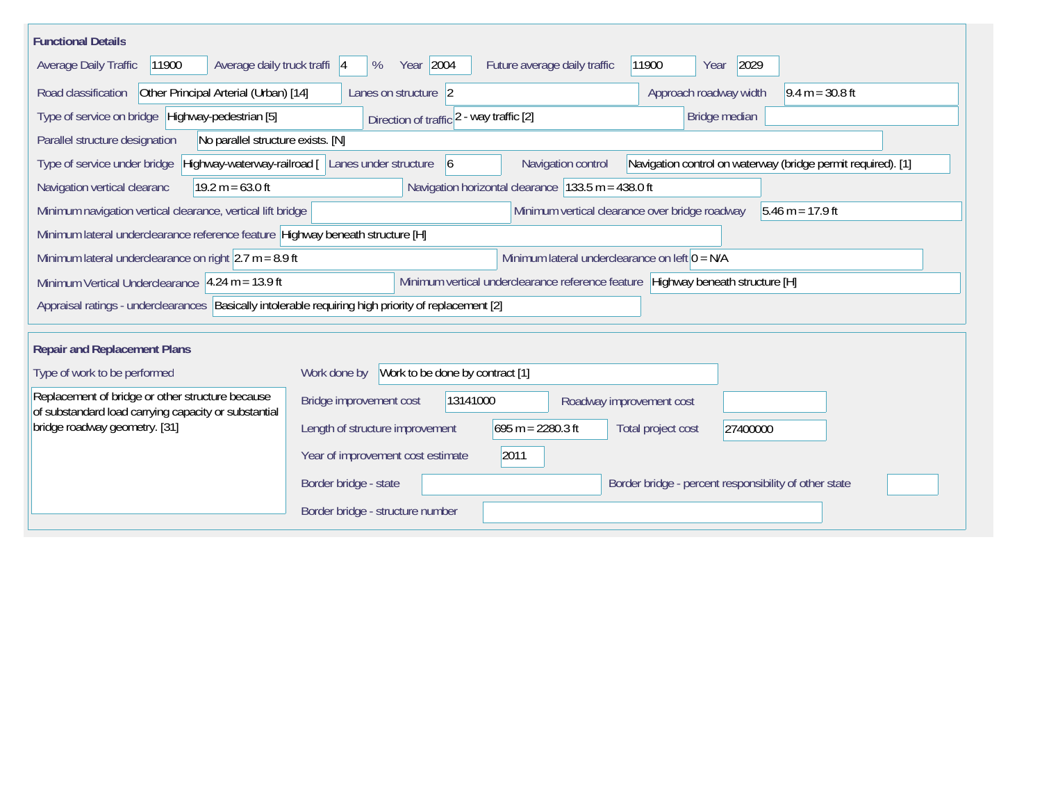| <b>Functional Details</b>                                                                                                                               |                                                                     |                                                      |                                                              |  |  |  |
|---------------------------------------------------------------------------------------------------------------------------------------------------------|---------------------------------------------------------------------|------------------------------------------------------|--------------------------------------------------------------|--|--|--|
| Average daily truck traffi 4<br>Average Daily Traffic<br>11900                                                                                          | Year 2004<br>%                                                      | Future average daily traffic                         | 2029<br>11900<br>Year                                        |  |  |  |
| Other Principal Arterial (Urban) [14]<br>Road classification                                                                                            | Lanes on structure 2                                                |                                                      | Approach roadway width<br>$9.4 m = 30.8 ft$                  |  |  |  |
| Type of service on bridge Highway-pedestrian [5]                                                                                                        | Direction of traffic 2 - way traffic [2]                            |                                                      | Bridge median                                                |  |  |  |
| Parallel structure designation<br>No parallel structure exists. [N]                                                                                     |                                                                     |                                                      |                                                              |  |  |  |
| Type of service under bridge                                                                                                                            | Highway-waterway-railroad [ Lanes under structure<br>$\overline{6}$ | Navigation control                                   | Navigation control on waterway (bridge permit required). [1] |  |  |  |
| Navigation vertical clearanc<br>$19.2 m = 63.0 ft$                                                                                                      |                                                                     | Navigation horizontal clearance $133.5$ m = 438.0 ft |                                                              |  |  |  |
| Minimum vertical clearance over bridge roadway<br>Minimum navigation vertical clearance, vertical lift bridge<br>$ 5.46 \text{ m} = 17.9 \text{ ft} $   |                                                                     |                                                      |                                                              |  |  |  |
| Minimum lateral underclearance reference feature Highway beneath structure [H]                                                                          |                                                                     |                                                      |                                                              |  |  |  |
| Minimum lateral underclearance on left $0 = N/A$<br>Minimum lateral underclearance on right $ 2.7 \text{ m} = 8.9 \text{ ft}$                           |                                                                     |                                                      |                                                              |  |  |  |
| Minimum vertical underclearance reference feature Highway beneath structure [H]<br>Minimum Vertical Underclearance $ 4.24 \text{ m} = 13.9 \text{ ft} $ |                                                                     |                                                      |                                                              |  |  |  |
| Appraisal ratings - underclearances   Basically intolerable requiring high priority of replacement [2]                                                  |                                                                     |                                                      |                                                              |  |  |  |
| <b>Repair and Replacement Plans</b>                                                                                                                     |                                                                     |                                                      |                                                              |  |  |  |
| Type of work to be performed                                                                                                                            | Work to be done by contract [1]<br>Work done by                     |                                                      |                                                              |  |  |  |
| Replacement of bridge or other structure because<br>of substandard load carrying capacity or substantial                                                | Bridge improvement cost<br>13141000                                 | Roadway improvement cost                             |                                                              |  |  |  |
| bridge roadway geometry. [31]                                                                                                                           | Length of structure improvement                                     | $695 m = 2280.3 ft$                                  | Total project cost<br>27400000                               |  |  |  |
|                                                                                                                                                         | Year of improvement cost estimate                                   | 2011                                                 |                                                              |  |  |  |
|                                                                                                                                                         | Border bridge - state                                               |                                                      | Border bridge - percent responsibility of other state        |  |  |  |
|                                                                                                                                                         | Border bridge - structure number                                    |                                                      |                                                              |  |  |  |